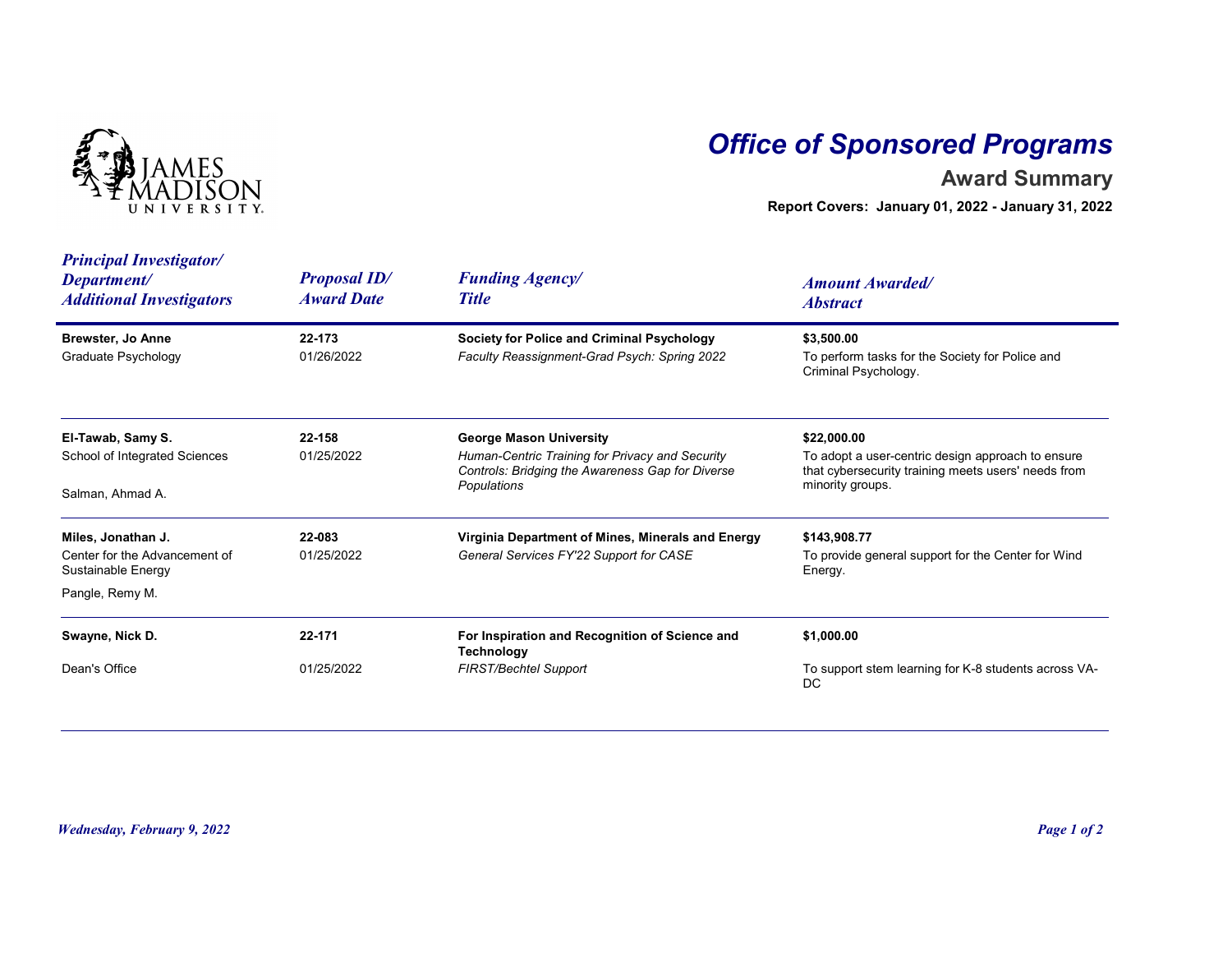

## Office of Sponsored Programs

## Award Summary

| <b>IVERSITY</b>                                                                              |                                          | <b>Office of Sponsored Programs</b><br><b>Award Summary</b><br>Report Covers: January 01, 2022 - January 31, 2022                                    |                                                                                                                                             |  |
|----------------------------------------------------------------------------------------------|------------------------------------------|------------------------------------------------------------------------------------------------------------------------------------------------------|---------------------------------------------------------------------------------------------------------------------------------------------|--|
| <b>Principal Investigator/</b><br>Department/<br><b>Additional Investigators</b>             | <b>Proposal ID/</b><br><b>Award Date</b> | <b>Funding Agency/</b><br><b>Title</b>                                                                                                               | <b>Amount Awarded/</b><br><b>Abstract</b>                                                                                                   |  |
| <b>Brewster, Jo Anne</b><br><b>Graduate Psychology</b>                                       | 22-173<br>01/26/2022                     | <b>Society for Police and Criminal Psychology</b><br>Faculty Reassignment-Grad Psych: Spring 2022                                                    | \$3,500.00<br>To perform tasks for the Society for Police and<br>Criminal Psychology.                                                       |  |
| El-Tawab, Samy S.<br>School of Integrated Sciences<br>Salman, Ahmad A.                       | 22-158<br>01/25/2022                     | <b>George Mason University</b><br>Human-Centric Training for Privacy and Security<br>Controls: Bridging the Awareness Gap for Diverse<br>Populations | \$22,000.00<br>To adopt a user-centric design approach to ensure<br>that cybersecurity training meets users' needs from<br>minority groups. |  |
| Miles, Jonathan J.<br>Center for the Advancement of<br>Sustainable Energy<br>Pangle, Remy M. | 22-083<br>01/25/2022                     | Virginia Department of Mines, Minerals and Energy<br>General Services FY'22 Support for CASE                                                         | \$143,908.77<br>To provide general support for the Center for Wind<br>Energy.                                                               |  |
| Swayne, Nick D.                                                                              | 22-171                                   | For Inspiration and Recognition of Science and                                                                                                       | \$1,000.00                                                                                                                                  |  |
| Dean's Office                                                                                | 01/25/2022                               | <b>Technology</b><br>FIRST/Bechtel Support                                                                                                           | To support stem learning for K-8 students across VA-<br>DC                                                                                  |  |